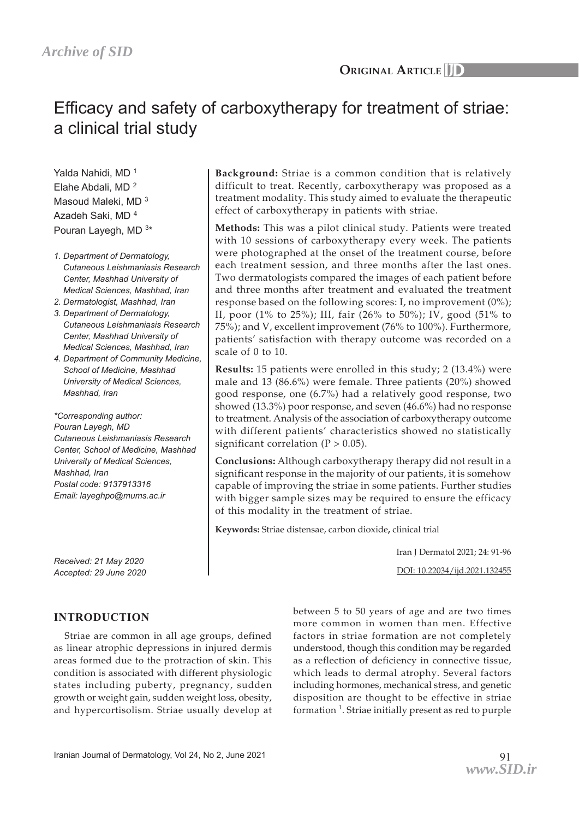# Efficacy and safety of carboxytherapy for treatment of striae: a clinical trial study

Yalda Nahidi, MD<sup>1</sup> Elahe Abdali, MD 2 Masoud Maleki, MD  $3$ Azadeh Saki, MD 4 Pouran Layegh, MD 3\*

- *1. Department of Dermatology, Cutaneous Leishmaniasis Research Center, Mashhad University of Medical Sciences, Mashhad, Iran*
- *2. Dermatologist, Mashhad, Iran*
- *3. Department of Dermatology, Cutaneous Leishmaniasis Research Center, Mashhad University of Medical Sciences, Mashhad, Iran*
- *4. Department of Community Medicine, School of Medicine, Mashhad University of Medical Sciences, Mashhad, Iran*

*\*Corresponding author: Pouran Layegh, MD Cutaneous Leishmaniasis Research Center, School of Medicine, Mashhad University of Medical Sciences, Mashhad, Iran Postal code: 9137913316 Email: layeghpo@mums.ac.ir*

*Received: 21 May 2020 Accepted: 29 June 2020*

# **INTRODUCTION**

Striae are common in all age groups, defined as linear atrophic depressions in injured dermis areas formed due to the protraction of skin. This condition is associated with different physiologic states including puberty, pregnancy, sudden growth or weight gain, sudden weight loss, obesity, and hypercortisolism. Striae usually develop at

**Background:** Striae is a common condition that is relatively difficult to treat. Recently, carboxytherapy was proposed as a treatment modality. This study aimed to evaluate the therapeutic effect of carboxytherapy in patients with striae.

**Methods:** This was a pilot clinical study. Patients were treated with 10 sessions of carboxytherapy every week. The patients were photographed at the onset of the treatment course, before each treatment session, and three months after the last ones. Two dermatologists compared the images of each patient before and three months after treatment and evaluated the treatment response based on the following scores: I, no improvement (0%); II, poor (1% to 25%); III, fair (26% to 50%); IV, good (51% to 75%); and V, excellent improvement (76% to 100%). Furthermore, patients' satisfaction with therapy outcome was recorded on a scale of 0 to 10.

**Results:** 15 patients were enrolled in this study; 2 (13.4%) were male and 13 (86.6%) were female. Three patients (20%) showed good response, one (6.7%) had a relatively good response, two showed (13.3%) poor response, and seven (46.6%) had no response to treatment. Analysis of the association of carboxytherapy outcome with different patients' characteristics showed no statistically significant correlation  $(P > 0.05)$ .

**Conclusions:** Although carboxytherapy therapy did not result in a significant response in the majority of our patients, it is somehow capable of improving the striae in some patients. Further studies with bigger sample sizes may be required to ensure the efficacy of this modality in the treatment of striae.

**Keywords:** Striae distensae, carbon dioxide**,** clinical trial

Iran J Dermatol 2021; 24: 91-96

DOI: 10.22034/ijd.2021.132455

between 5 to 50 years of age and are two times more common in women than men. Effective factors in striae formation are not completely understood, though this condition may be regarded as a reflection of deficiency in connective tissue, which leads to dermal atrophy. Several factors including hormones, mechanical stress, and genetic disposition are thought to be effective in striae formation<sup>1</sup>. Striae initially present as red to purple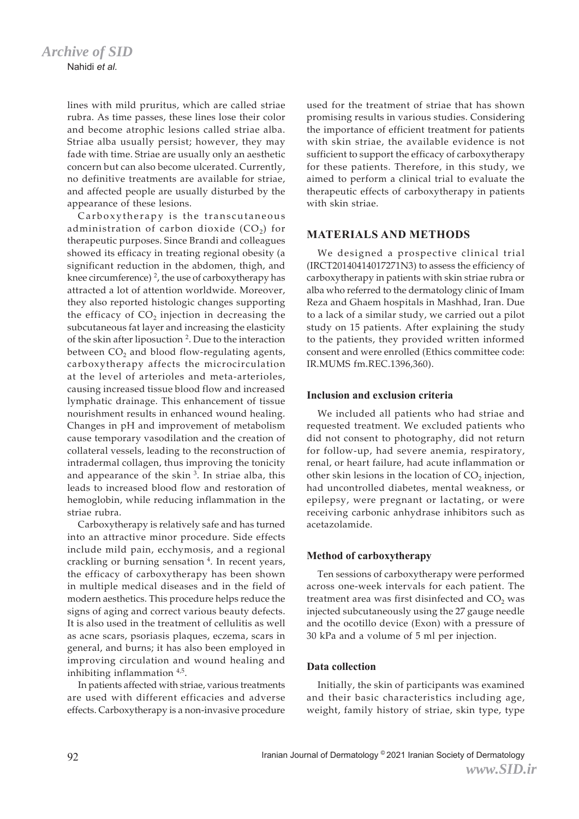lines with mild pruritus, which are called striae rubra. As time passes, these lines lose their color and become atrophic lesions called striae alba. Striae alba usually persist; however, they may fade with time. Striae are usually only an aesthetic concern but can also become ulcerated. Currently, no definitive treatments are available for striae, and affected people are usually disturbed by the appearance of these lesions.

Carboxytherapy is the transcutaneous administration of carbon dioxide  $(CO<sub>2</sub>)$  for therapeutic purposes. Since Brandi and colleagues showed its efficacy in treating regional obesity (a significant reduction in the abdomen, thigh, and knee circumference)  $^2$ , the use of carboxytherapy has attracted a lot of attention worldwide. Moreover, they also reported histologic changes supporting the efficacy of  $CO<sub>2</sub>$  injection in decreasing the subcutaneous fat layer and increasing the elasticity of the skin after liposuction<sup>2</sup>. Due to the interaction between  $CO<sub>2</sub>$  and blood flow-regulating agents, carboxytherapy affects the microcirculation at the level of arterioles and meta-arterioles, causing increased tissue blood flow and increased lymphatic drainage. This enhancement of tissue nourishment results in enhanced wound healing. Changes in pH and improvement of metabolism cause temporary vasodilation and the creation of collateral vessels, leading to the reconstruction of intradermal collagen, thus improving the tonicity and appearance of the skin  $3$ . In striae alba, this leads to increased blood flow and restoration of hemoglobin, while reducing inflammation in the striae rubra.

Carboxytherapy is relatively safe and has turned into an attractive minor procedure. Side effects include mild pain, ecchymosis, and a regional crackling or burning sensation 4 . In recent years, the efficacy of carboxytherapy has been shown in multiple medical diseases and in the field of modern aesthetics. This procedure helps reduce the signs of aging and correct various beauty defects. It is also used in the treatment of cellulitis as well as acne scars, psoriasis plaques, eczema, scars in general, and burns; it has also been employed in improving circulation and wound healing and inhibiting inflammation 4,5.

In patients affected with striae, various treatments are used with different efficacies and adverse effects. Carboxytherapy is a non-invasive procedure used for the treatment of striae that has shown promising results in various studies. Considering the importance of efficient treatment for patients with skin striae, the available evidence is not sufficient to support the efficacy of carboxytherapy for these patients. Therefore, in this study, we aimed to perform a clinical trial to evaluate the therapeutic effects of carboxytherapy in patients with skin striae.

## **MATERIALS AND METHODS**

We designed a prospective clinical trial (IRCT20140414017271N3) to assess the efficiency of carboxytherapy in patients with skin striae rubra or alba who referred to the dermatology clinic of Imam Reza and Ghaem hospitals in Mashhad, Iran. Due to a lack of a similar study, we carried out a pilot study on 15 patients. After explaining the study to the patients, they provided written informed consent and were enrolled (Ethics committee code: IR.MUMS fm.REC.1396,360).

#### **Inclusion and exclusion criteria**

We included all patients who had striae and requested treatment. We excluded patients who did not consent to photography, did not return for follow-up, had severe anemia, respiratory, renal, or heart failure, had acute inflammation or other skin lesions in the location of  $CO<sub>2</sub>$  injection, had uncontrolled diabetes, mental weakness, or epilepsy, were pregnant or lactating, or were receiving carbonic anhydrase inhibitors such as acetazolamide.

## **Method of carboxytherapy**

Ten sessions of carboxytherapy were performed across one-week intervals for each patient. The treatment area was first disinfected and  $CO<sub>2</sub>$  was injected subcutaneously using the 27 gauge needle and the ocotillo device (Exon) with a pressure of 30 kPa and a volume of 5 ml per injection.

## **Data collection**

Initially, the skin of participants was examined and their basic characteristics including age, weight, family history of striae, skin type, type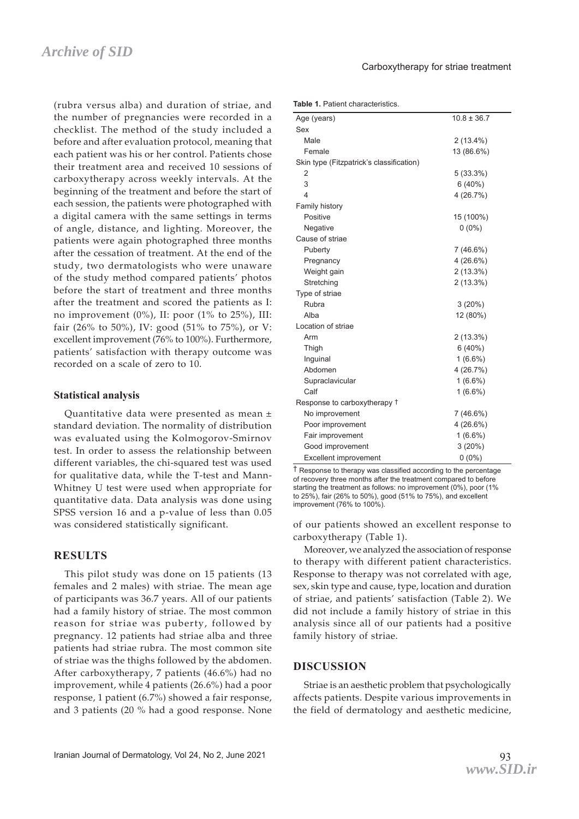(rubra versus alba) and duration of striae, and the number of pregnancies were recorded in a checklist. The method of the study included a before and after evaluation protocol, meaning that each patient was his or her control. Patients chose their treatment area and received 10 sessions of carboxytherapy across weekly intervals. At the beginning of the treatment and before the start of each session, the patients were photographed with a digital camera with the same settings in terms of angle, distance, and lighting. Moreover, the patients were again photographed three months after the cessation of treatment. At the end of the study, two dermatologists who were unaware of the study method compared patients' photos before the start of treatment and three months after the treatment and scored the patients as I: no improvement (0%), II: poor (1% to 25%), III: fair (26% to 50%), IV: good (51% to 75%), or V: excellent improvement (76% to 100%). Furthermore, patients' satisfaction with therapy outcome was recorded on a scale of zero to 10.

#### **Statistical analysis**

Quantitative data were presented as mean ± standard deviation. The normality of distribution was evaluated using the Kolmogorov-Smirnov test. In order to assess the relationship between different variables, the chi-squared test was used for qualitative data, while the T-test and Mann-Whitney U test were used when appropriate for quantitative data. Data analysis was done using SPSS version 16 and a p-value of less than 0.05 was considered statistically significant.

## **RESULTS**

This pilot study was done on 15 patients (13 females and 2 males) with striae. The mean age of participants was 36.7 years. All of our patients had a family history of striae. The most common reason for striae was puberty, followed by pregnancy. 12 patients had striae alba and three patients had striae rubra. The most common site of striae was the thighs followed by the abdomen. After carboxytherapy, 7 patients (46.6%) had no improvement, while 4 patients (26.6%) had a poor response, 1 patient (6.7%) showed a fair response, and 3 patients (20 % had a good response. None

**Table 1.** Patient characteristics.

| Age (years)                              | $10.8 \pm 36.7$ |  |  |
|------------------------------------------|-----------------|--|--|
| Sex                                      |                 |  |  |
| Male                                     | $2(13.4\%)$     |  |  |
| Female                                   | 13 (86.6%)      |  |  |
| Skin type (Fitzpatrick's classification) |                 |  |  |
| 2                                        | 5(33.3%)        |  |  |
| 3                                        | 6(40%)          |  |  |
| $\overline{4}$                           | 4(26.7%)        |  |  |
| Family history                           |                 |  |  |
| Positive                                 | 15 (100%)       |  |  |
| Negative                                 | $0(0\%)$        |  |  |
| Cause of striae                          |                 |  |  |
| Puberty                                  | $7(46.6\%)$     |  |  |
| Pregnancy                                | $4(26.6\%)$     |  |  |
| Weight gain                              | $2(13.3\%)$     |  |  |
| Stretching                               | 2(13.3%)        |  |  |
| Type of striae                           |                 |  |  |
| Rubra                                    | 3(20%)          |  |  |
| Alba                                     | 12 (80%)        |  |  |
| Location of striae                       |                 |  |  |
| Arm                                      | $2(13.3\%)$     |  |  |
| Thigh                                    | 6(40%)          |  |  |
| Inguinal<br>$1(6.6\%)$                   |                 |  |  |
| Abdomen                                  | 4 (26.7%)       |  |  |
| Supraclavicular                          | $1(6.6\%)$      |  |  |
| Calf                                     | $1(6.6\%)$      |  |  |
| Response to carboxytherapy <sup>†</sup>  |                 |  |  |
| No improvement                           | 7 (46.6%)       |  |  |
| Poor improvement<br>4(26.6%)             |                 |  |  |
| Fair improvement                         | $1(6.6\%)$      |  |  |
| Good improvement                         | 3(20%)          |  |  |
| <b>Excellent improvement</b>             | $0(0\%)$        |  |  |

† Response to therapy was classified according to the percentage of recovery three months after the treatment compared to before starting the treatment as follows: no improvement (0%), poor (1% to 25%), fair (26% to 50%), good (51% to 75%), and excellent improvement (76% to 100%).

of our patients showed an excellent response to carboxytherapy (Table 1).

Moreover, we analyzed the association of response to therapy with different patient characteristics. Response to therapy was not correlated with age, sex, skin type and cause, type, location and duration of striae, and patients' satisfaction (Table 2). We did not include a family history of striae in this analysis since all of our patients had a positive family history of striae.

## **DISCUSSION**

Striae is an aesthetic problem that psychologically affects patients. Despite various improvements in the field of dermatology and aesthetic medicine,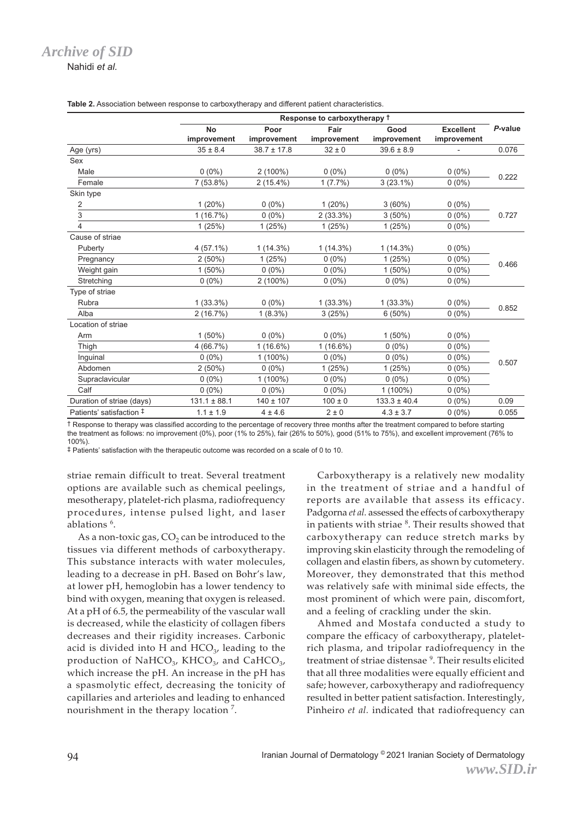Nahidi *et al.*

|                           | Response to carboxytherapy <sup>†</sup> |                 |             |                  |                  |         |
|---------------------------|-----------------------------------------|-----------------|-------------|------------------|------------------|---------|
|                           | <b>No</b>                               | Poor            | Fair        | Good             | <b>Excellent</b> | P-value |
|                           | improvement                             | improvement     | improvement | improvement      | improvement      |         |
| Age (yrs)                 | $35 \pm 8.4$                            | $38.7 \pm 17.8$ | $32 \pm 0$  | $39.6 \pm 8.9$   |                  | 0.076   |
| Sex                       |                                         |                 |             |                  |                  |         |
| Male                      | $0(0\%)$                                | $2(100\%)$      | $0(0\%)$    | $0(0\%)$         | $0(0\%)$         | 0.222   |
| Female                    | $7(53.8\%)$                             | $2(15.4\%)$     | 1(7.7%)     | $3(23.1\%)$      | $0(0\%)$         |         |
| Skin type                 |                                         |                 |             |                  |                  |         |
| 2                         | 1(20%)                                  | $0(0\%)$        | 1(20%)      | 3(60%)           | $0(0\%)$         | 0.727   |
| 3                         | 1(16.7%)                                | $0(0\%)$        | $2(33.3\%)$ | $3(50\%)$        | $0(0\%)$         |         |
| 4                         | 1(25%)                                  | 1(25%)          | 1(25%)      | 1(25%)           | $0(0\%)$         |         |
| Cause of striae           |                                         |                 |             |                  |                  |         |
| Puberty                   | $4(57.1\%)$                             | $1(14.3\%)$     | $1(14.3\%)$ | $1(14.3\%)$      | $0(0\%)$         | 0.466   |
| Pregnancy                 | 2(50%)                                  | 1(25%)          | $0(0\%)$    | 1(25%)           | $0(0\%)$         |         |
| Weight gain               | $1(50\%)$                               | $0(0\%)$        | $0(0\%)$    | $1(50\%)$        | $0(0\%)$         |         |
| Stretching                | $0(0\%)$                                | $2(100\%)$      | $0(0\%)$    | $0(0\%)$         | $0(0\%)$         |         |
| Type of striae            |                                         |                 |             |                  |                  |         |
| Rubra                     | $1(33.3\%)$                             | $0(0\%)$        | $1(33.3\%)$ | $1(33.3\%)$      | $0(0\%)$         | 0.852   |
| Alba                      | 2(16.7%)                                | $1(8.3\%)$      | 3(25%)      | 6(50%)           | $0(0\%)$         |         |
| Location of striae        |                                         |                 |             |                  |                  |         |
| Arm                       | $1(50\%)$                               | $0(0\%)$        | $0(0\%)$    | $1(50\%)$        | $0(0\%)$         | 0.507   |
| Thigh                     | 4 (66.7%)                               | $1(16.6\%)$     | $1(16.6\%)$ | $0(0\%)$         | $0(0\%)$         |         |
| Inguinal                  | $0(0\%)$                                | $1(100\%)$      | $0(0\%)$    | $0(0\%)$         | $0(0\%)$         |         |
| Abdomen                   | $2(50\%)$                               | $0(0\%)$        | 1(25%)      | 1(25%)           | $0(0\%)$         |         |
| Supraclavicular           | $0(0\%)$                                | $1(100\%)$      | $0(0\%)$    | $0(0\%)$         | $0(0\%)$         |         |
| Calf                      | $0(0\%)$                                | $0(0\%)$        | $0(0\%)$    | $1(100\%)$       | $0(0\%)$         |         |
| Duration of striae (days) | $131.1 \pm 88.1$                        | $140 \pm 107$   | $100 \pm 0$ | $133.3 \pm 40.4$ | $0(0\%)$         | 0.09    |
| Patients' satisfaction #  | $1.1 \pm 1.9$                           | $4 \pm 4.6$     | $2 \pm 0$   | $4.3 \pm 3.7$    | $0(0\%)$         | 0.055   |

**Table 2.** Association between response to carboxytherapy and different patient characteristics.

† Response to therapy was classified according to the percentage of recovery three months after the treatment compared to before starting the treatment as follows: no improvement (0%), poor (1% to 25%), fair (26% to 50%), good (51% to 75%), and excellent improvement (76% to 100%).

‡ Patients' satisfaction with the therapeutic outcome was recorded on a scale of 0 to 10.

striae remain difficult to treat. Several treatment options are available such as chemical peelings, mesotherapy, platelet-rich plasma, radiofrequency procedures, intense pulsed light, and laser ablations 6 .

As a non-toxic gas,  $CO<sub>2</sub>$  can be introduced to the tissues via different methods of carboxytherapy. This substance interacts with water molecules, leading to a decrease in pH. Based on Bohr's law, at lower pH, hemoglobin has a lower tendency to bind with oxygen, meaning that oxygen is released. At a pH of 6.5, the permeability of the vascular wall is decreased, while the elasticity of collagen fibers decreases and their rigidity increases. Carbonic acid is divided into H and  $HCO<sub>3</sub>$ , leading to the production of NaHCO<sub>3</sub>, KHCO<sub>3</sub>, and CaHCO<sub>3</sub>, which increase the pH. An increase in the pH has a spasmolytic effect, decreasing the tonicity of capillaries and arterioles and leading to enhanced nourishment in the therapy location<sup>7</sup>.

Carboxytherapy is a relatively new modality in the treatment of striae and a handful of reports are available that assess its efficacy. Padgorna *et al.* assessed the effects of carboxytherapy in patients with striae <sup>8</sup>. Their results showed that carboxytherapy can reduce stretch marks by improving skin elasticity through the remodeling of collagen and elastin fibers, as shown by cutometery. Moreover, they demonstrated that this method was relatively safe with minimal side effects, the most prominent of which were pain, discomfort, and a feeling of crackling under the skin.

Ahmed and Mostafa conducted a study to compare the efficacy of carboxytherapy, plateletrich plasma, and tripolar radiofrequency in the treatment of striae distensae<sup>9</sup>. Their results elicited that all three modalities were equally efficient and safe; however, carboxytherapy and radiofrequency resulted in better patient satisfaction. Interestingly, Pinheiro *et al.* indicated that radiofrequency can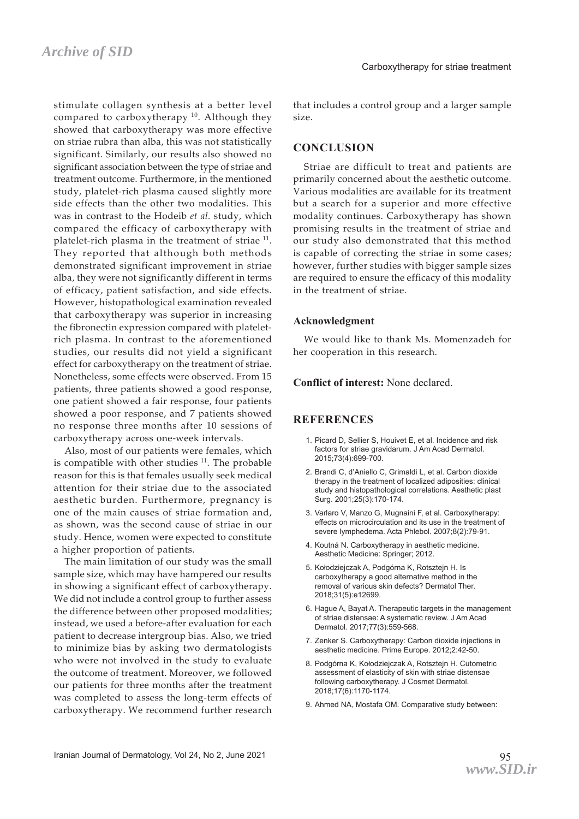stimulate collagen synthesis at a better level compared to carboxytherapy  $10$ . Although they showed that carboxytherapy was more effective on striae rubra than alba, this was not statistically significant. Similarly, our results also showed no significant association between the type of striae and treatment outcome. Furthermore, in the mentioned study, platelet-rich plasma caused slightly more side effects than the other two modalities. This was in contrast to the Hodeib *et al.* study, which compared the efficacy of carboxytherapy with platelet-rich plasma in the treatment of striae <sup>11</sup>. They reported that although both methods demonstrated significant improvement in striae alba, they were not significantly different in terms of efficacy, patient satisfaction, and side effects. However, histopathological examination revealed that carboxytherapy was superior in increasing the fibronectin expression compared with plateletrich plasma. In contrast to the aforementioned studies, our results did not yield a significant effect for carboxytherapy on the treatment of striae. Nonetheless, some effects were observed. From 15 patients, three patients showed a good response, one patient showed a fair response, four patients showed a poor response, and 7 patients showed no response three months after 10 sessions of carboxytherapy across one-week intervals.

Also, most of our patients were females, which is compatible with other studies  $11$ . The probable reason for this is that females usually seek medical attention for their striae due to the associated aesthetic burden. Furthermore, pregnancy is one of the main causes of striae formation and, as shown, was the second cause of striae in our study. Hence, women were expected to constitute a higher proportion of patients.

The main limitation of our study was the small sample size, which may have hampered our results in showing a significant effect of carboxytherapy. We did not include a control group to further assess the difference between other proposed modalities; instead, we used a before-after evaluation for each patient to decrease intergroup bias. Also, we tried to minimize bias by asking two dermatologists who were not involved in the study to evaluate the outcome of treatment. Moreover, we followed our patients for three months after the treatment was completed to assess the long-term effects of carboxytherapy. We recommend further research

that includes a control group and a larger sample size.

#### **CONCLUSION**

Striae are difficult to treat and patients are primarily concerned about the aesthetic outcome. Various modalities are available for its treatment but a search for a superior and more effective modality continues. Carboxytherapy has shown promising results in the treatment of striae and our study also demonstrated that this method is capable of correcting the striae in some cases; however, further studies with bigger sample sizes are required to ensure the efficacy of this modality in the treatment of striae.

#### **Acknowledgment**

We would like to thank Ms. Momenzadeh for her cooperation in this research.

#### **Conflict of interest:** None declared.

## **REFERENCES**

- 1. Picard D, Sellier S, Houivet E, et al. Incidence and risk factors for striae gravidarum. J Am Acad Dermatol. 2015;73(4):699-700.
- 2. Brandi C, d'Aniello C, Grimaldi L, et al. Carbon dioxide therapy in the treatment of localized adiposities: clinical study and histopathological correlations. Aesthetic plast Surg. 2001;25(3):170-174.
- 3. Varlaro V, Manzo G, Mugnaini F, et al. Carboxytherapy: effects on microcirculation and its use in the treatment of severe lymphedema. Acta Phlebol. 2007;8(2):79-91.
- 4. Koutná N. Carboxytherapy in aesthetic medicine. Aesthetic Medicine: Springer; 2012.
- 5. Kołodziejczak A, Podgórna K, Rotsztejn H. Is carboxytherapy a good alternative method in the removal of various skin defects? Dermatol Ther. 2018;31(5):e12699.
- 6. Hague A, Bayat A. Therapeutic targets in the management of striae distensae: A systematic review. J Am Acad Dermatol. 2017;77(3):559-568.
- 7. Zenker S. Carboxytherapy: Carbon dioxide injections in aesthetic medicine. Prime Europe. 2012;2:42-50.
- 8. Podgórna K, Kołodziejczak A, Rotsztejn H. Cutometric assessment of elasticity of skin with striae distensae following carboxytherapy. J Cosmet Dermatol. 2018;17(6):1170-1174.
- 9. Ahmed NA, Mostafa OM. Comparative study between: